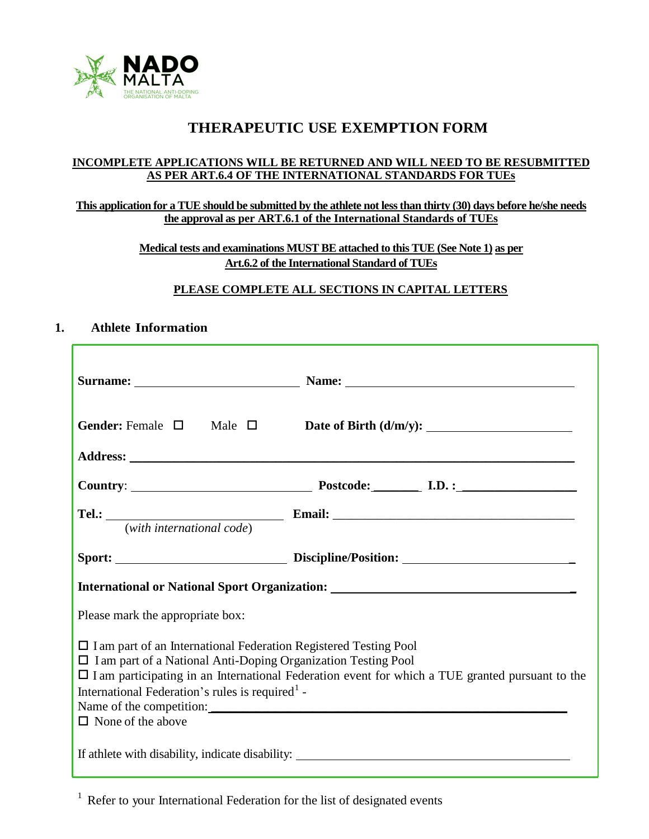

# **THERAPEUTIC USE EXEMPTION FORM**

#### **INCOMPLETE APPLICATIONS WILL BE RETURNED AND WILL NEED TO BE RESUBMITTED AS PER ART.6.4 OF THE INTERNATIONAL STANDARDS FOR TUEs**

#### **This application for a TUE should be submitted by the athlete not less than thirty (30) days before he/she needs the approval as per ART.6.1 of the International Standards of TUEs**

**Medical tests and examinations MUST BE attached to this TUE (See Note 1) as per Art.6.2 of the International Standard of TUEs**

### **PLEASE COMPLETE ALL SECTIONS IN CAPITAL LETTERS**

### **1. Athlete Information**

| International or National Sport Organization: ___________________________________                                                                                                                                                                                                                                                                    |  |  |  |  |
|------------------------------------------------------------------------------------------------------------------------------------------------------------------------------------------------------------------------------------------------------------------------------------------------------------------------------------------------------|--|--|--|--|
| Please mark the appropriate box:                                                                                                                                                                                                                                                                                                                     |  |  |  |  |
| $\Box$ I am part of an International Federation Registered Testing Pool<br>$\Box$ I am part of a National Anti-Doping Organization Testing Pool<br>$\Box$ I am participating in an International Federation event for which a TUE granted pursuant to the<br>International Federation's rules is required <sup>1</sup> -<br>$\Box$ None of the above |  |  |  |  |
|                                                                                                                                                                                                                                                                                                                                                      |  |  |  |  |

 $1$  Refer to your International Federation for the list of designated events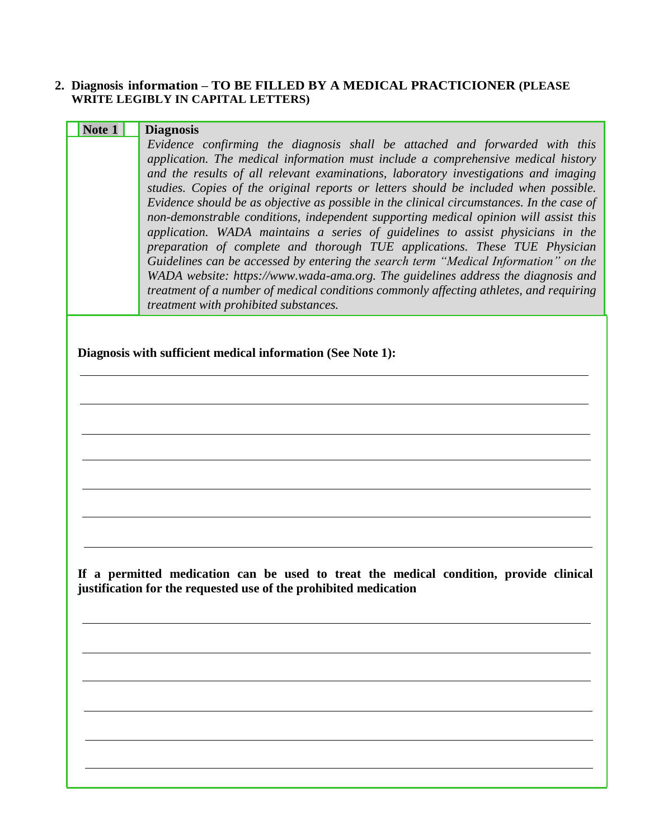### **2. Diagnosis information – TO BE FILLED BY A MEDICAL PRACTICIONER (PLEASE WRITE LEGIBLY IN CAPITAL LETTERS)**

| <b>Diagnosis</b>                                                                                                                                                                                                                                                                                                                                                                                                                                                                                                                                                                                                                                                                                                                                                                                                                                                                                                                                                                                                   |
|--------------------------------------------------------------------------------------------------------------------------------------------------------------------------------------------------------------------------------------------------------------------------------------------------------------------------------------------------------------------------------------------------------------------------------------------------------------------------------------------------------------------------------------------------------------------------------------------------------------------------------------------------------------------------------------------------------------------------------------------------------------------------------------------------------------------------------------------------------------------------------------------------------------------------------------------------------------------------------------------------------------------|
| Evidence confirming the diagnosis shall be attached and forwarded with this<br>application. The medical information must include a comprehensive medical history<br>and the results of all relevant examinations, laboratory investigations and imaging<br>studies. Copies of the original reports or letters should be included when possible.<br>Evidence should be as objective as possible in the clinical circumstances. In the case of<br>non-demonstrable conditions, independent supporting medical opinion will assist this<br>application. WADA maintains a series of guidelines to assist physicians in the<br>preparation of complete and thorough TUE applications. These TUE Physician<br>Guidelines can be accessed by entering the search term "Medical Information" on the<br>WADA website: https://www.wada-ama.org. The guidelines address the diagnosis and<br>treatment of a number of medical conditions commonly affecting athletes, and requiring<br>treatment with prohibited substances. |
| Diagnosis with sufficient medical information (See Note 1):                                                                                                                                                                                                                                                                                                                                                                                                                                                                                                                                                                                                                                                                                                                                                                                                                                                                                                                                                        |
|                                                                                                                                                                                                                                                                                                                                                                                                                                                                                                                                                                                                                                                                                                                                                                                                                                                                                                                                                                                                                    |
|                                                                                                                                                                                                                                                                                                                                                                                                                                                                                                                                                                                                                                                                                                                                                                                                                                                                                                                                                                                                                    |
|                                                                                                                                                                                                                                                                                                                                                                                                                                                                                                                                                                                                                                                                                                                                                                                                                                                                                                                                                                                                                    |
|                                                                                                                                                                                                                                                                                                                                                                                                                                                                                                                                                                                                                                                                                                                                                                                                                                                                                                                                                                                                                    |
|                                                                                                                                                                                                                                                                                                                                                                                                                                                                                                                                                                                                                                                                                                                                                                                                                                                                                                                                                                                                                    |
|                                                                                                                                                                                                                                                                                                                                                                                                                                                                                                                                                                                                                                                                                                                                                                                                                                                                                                                                                                                                                    |
| If a permitted medication can be used to treat the medical condition, provide clinical<br>justification for the requested use of the prohibited medication                                                                                                                                                                                                                                                                                                                                                                                                                                                                                                                                                                                                                                                                                                                                                                                                                                                         |
|                                                                                                                                                                                                                                                                                                                                                                                                                                                                                                                                                                                                                                                                                                                                                                                                                                                                                                                                                                                                                    |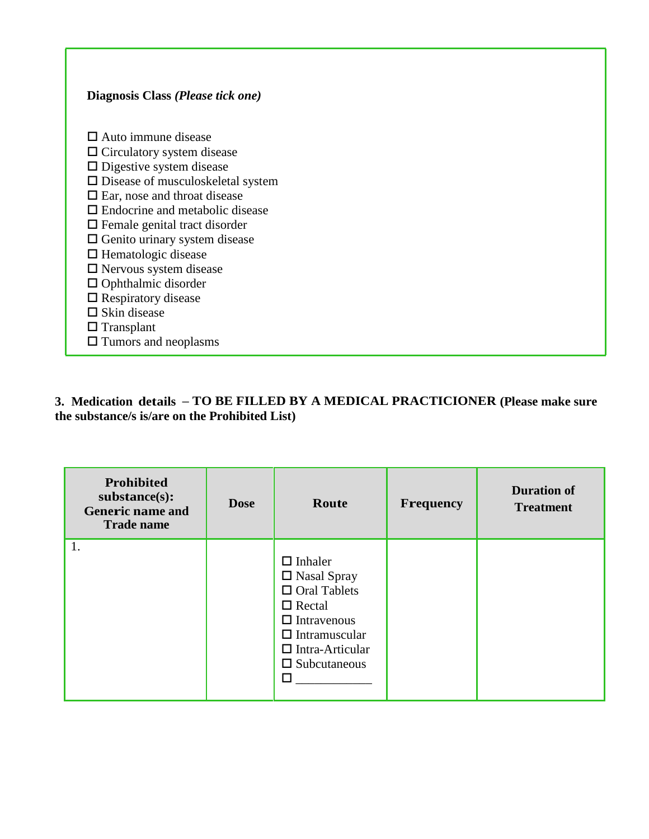## $\square$  Auto immune disease  $\Box$  Circulatory system disease  $\hfill\Box$  <br> Digestive system disease  $\square$  Disease of musculoskeletal system □ Ear, nose and throat disease Endocrine and metabolic disease Female genital tract disorder  $\Box$  Genito urinary system disease  $\Box$  Hematologic disease Nervous system disease  $\Box$  Ophthalmic disorder  $\square$  Respiratory disease  $\square$  Skin disease  $\Box$  Transplant Tumors and neoplasms

**Diagnosis Class** *(Please tick one)*

### **3. Medication details – TO BE FILLED BY A MEDICAL PRACTICIONER (Please make sure the substance/s is/are on the Prohibited List)**

| Prohibited<br>substance(s):<br><b>Generic name and</b><br><b>Trade name</b> | <b>Dose</b> | Route                                                                                                                                                                                 | <b>Frequency</b> | <b>Duration of</b><br><b>Treatment</b> |
|-----------------------------------------------------------------------------|-------------|---------------------------------------------------------------------------------------------------------------------------------------------------------------------------------------|------------------|----------------------------------------|
| 1.                                                                          |             | $\Box$ Inhaler<br>$\Box$ Nasal Spray<br>$\Box$ Oral Tablets<br>$\Box$ Rectal<br>$\Box$ Intravenous<br>$\Box$ Intramuscular<br>$\Box$ Intra-Articular<br>$\Box$ Subcutaneous<br>$\Box$ |                  |                                        |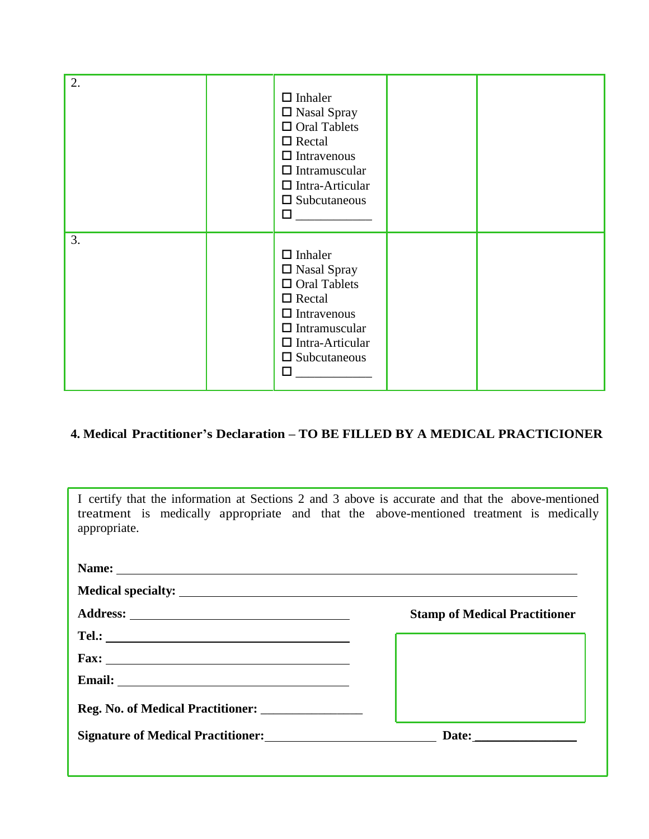| 2. | $\Box$ Inhaler<br>$\square$ Nasal Spray<br>$\hfill\Box$<br>Oral Tablets<br>$\Box$ Rectal<br>$\Box$ Intravenous<br>$\Box$ Intramuscular<br>$\Box$ Intra-Articular<br>$\square$ Subcutaneous<br>$\Box$ |  |
|----|------------------------------------------------------------------------------------------------------------------------------------------------------------------------------------------------------|--|
| 3. | $\Box$ Inhaler<br>$\square$ Nasal Spray<br>$\Box$ Oral Tablets<br>$\Box$ Rectal<br>$\Box$ Intravenous<br>$\Box$ Intramuscular<br>$\Box$ Intra-Articular<br>$\square$ Subcutaneous<br>$\Box$          |  |

# **4. Medical Practitioner's Declaration – TO BE FILLED BY A MEDICAL PRACTICIONER**

| I certify that the information at Sections 2 and 3 above is accurate and that the above-mentioned<br>treatment is medically appropriate and that the above-mentioned treatment is medically<br>appropriate. |                                      |
|-------------------------------------------------------------------------------------------------------------------------------------------------------------------------------------------------------------|--------------------------------------|
|                                                                                                                                                                                                             |                                      |
|                                                                                                                                                                                                             |                                      |
|                                                                                                                                                                                                             | <b>Stamp of Medical Practitioner</b> |
|                                                                                                                                                                                                             |                                      |
|                                                                                                                                                                                                             |                                      |
|                                                                                                                                                                                                             |                                      |
| <b>Reg. No. of Medical Practitioner:</b>                                                                                                                                                                    |                                      |
| <b>Signature of Medical Practitioner:</b>                                                                                                                                                                   | Date: $\qquad \qquad$                |
|                                                                                                                                                                                                             |                                      |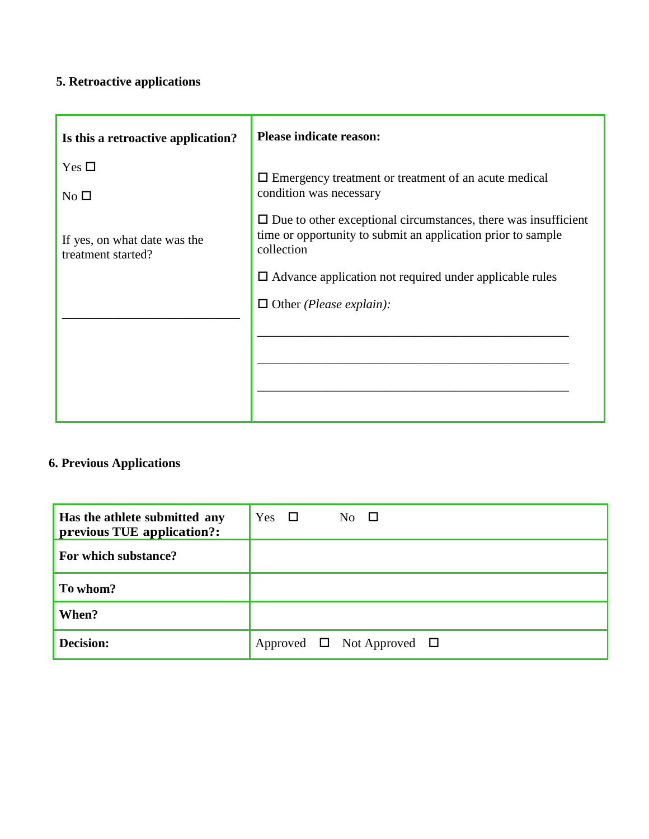# **5. Retroactive applications**

| Is this a retroactive application?                 | <b>Please indicate reason:</b>                                                                                                                      |
|----------------------------------------------------|-----------------------------------------------------------------------------------------------------------------------------------------------------|
| Yes $\Box$                                         | $\Box$ Emergency treatment or treatment of an acute medical                                                                                         |
| No <sub>1</sub>                                    | condition was necessary                                                                                                                             |
| If yes, on what date was the<br>treatment started? | $\Box$ Due to other exceptional circumstances, there was insufficient<br>time or opportunity to submit an application prior to sample<br>collection |
|                                                    | $\Box$ Advance application not required under applicable rules                                                                                      |
|                                                    | $\Box$ Other ( <i>Please explain</i> ):                                                                                                             |
|                                                    |                                                                                                                                                     |
|                                                    |                                                                                                                                                     |
|                                                    |                                                                                                                                                     |
|                                                    |                                                                                                                                                     |

# **6. Previous Applications**

| Has the athlete submitted any<br>previous TUE application?: | Yes $\square$ | No $\square$                        |  |
|-------------------------------------------------------------|---------------|-------------------------------------|--|
| For which substance?                                        |               |                                     |  |
| To whom?                                                    |               |                                     |  |
| When?                                                       |               |                                     |  |
| Decision:                                                   |               | Approved $\Box$ Not Approved $\Box$ |  |